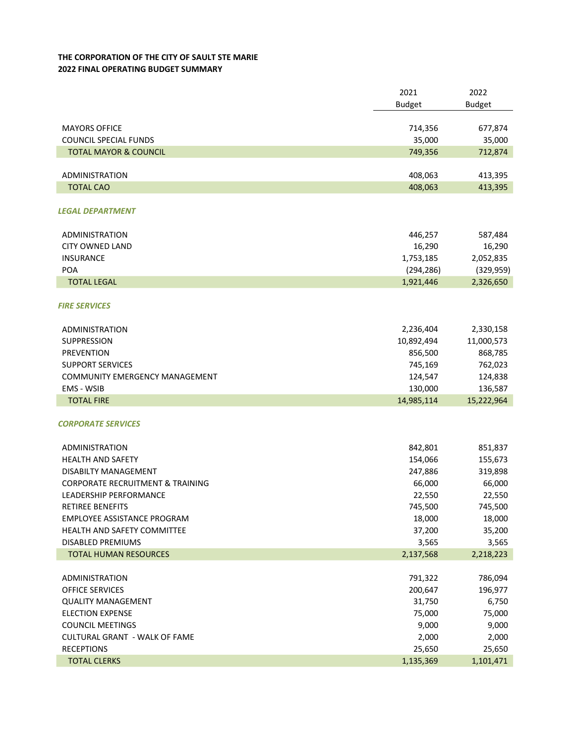## THE CORPORATION OF THE CITY OF SAULT STE MARIE 2022 FINAL OPERATING BUDGET SUMMARY

|                                             | 2021          | 2022          |
|---------------------------------------------|---------------|---------------|
|                                             | <b>Budget</b> | <b>Budget</b> |
|                                             |               |               |
| <b>MAYORS OFFICE</b>                        | 714,356       | 677,874       |
| <b>COUNCIL SPECIAL FUNDS</b>                | 35,000        | 35,000        |
| <b>TOTAL MAYOR &amp; COUNCIL</b>            | 749,356       | 712,874       |
|                                             |               |               |
| <b>ADMINISTRATION</b>                       | 408,063       | 413,395       |
| <b>TOTAL CAO</b>                            | 408,063       | 413,395       |
|                                             |               |               |
| <b>LEGAL DEPARTMENT</b>                     |               |               |
|                                             |               |               |
| <b>ADMINISTRATION</b>                       | 446,257       | 587,484       |
| <b>CITY OWNED LAND</b>                      | 16,290        | 16,290        |
| <b>INSURANCE</b>                            | 1,753,185     | 2,052,835     |
| POA                                         | (294, 286)    | (329, 959)    |
| <b>TOTAL LEGAL</b>                          | 1,921,446     | 2,326,650     |
|                                             |               |               |
| <b>FIRE SERVICES</b>                        |               |               |
|                                             |               |               |
| <b>ADMINISTRATION</b>                       | 2,236,404     | 2,330,158     |
| <b>SUPPRESSION</b>                          | 10,892,494    | 11,000,573    |
| <b>PREVENTION</b>                           | 856,500       | 868,785       |
| <b>SUPPORT SERVICES</b>                     | 745,169       | 762,023       |
| COMMUNITY EMERGENCY MANAGEMENT              | 124,547       | 124,838       |
| EMS - WSIB                                  | 130,000       | 136,587       |
| <b>TOTAL FIRE</b>                           | 14,985,114    | 15,222,964    |
|                                             |               |               |
| <b>CORPORATE SERVICES</b>                   |               |               |
|                                             |               |               |
| <b>ADMINISTRATION</b>                       | 842,801       | 851,837       |
| <b>HEALTH AND SAFETY</b>                    | 154,066       | 155,673       |
| DISABILTY MANAGEMENT                        | 247,886       | 319,898       |
| <b>CORPORATE RECRUITMENT &amp; TRAINING</b> | 66,000        | 66,000        |
| LEADERSHIP PERFORMANCE                      | 22,550        | 22,550        |
| <b>RETIREE BENEFITS</b>                     | 745,500       | 745,500       |
| EMPLOYEE ASSISTANCE PROGRAM                 | 18,000        | 18,000        |
| HEALTH AND SAFETY COMMITTEE                 |               |               |
| <b>DISABLED PREMIUMS</b>                    | 37,200        | 35,200        |
|                                             | 3,565         | 3,565         |
| <b>TOTAL HUMAN RESOURCES</b>                | 2,137,568     | 2,218,223     |
|                                             |               |               |
| ADMINISTRATION                              | 791,322       | 786,094       |
| OFFICE SERVICES                             | 200,647       | 196,977       |
| <b>QUALITY MANAGEMENT</b>                   | 31,750        | 6,750         |
| <b>ELECTION EXPENSE</b>                     | 75,000        | 75,000        |
| <b>COUNCIL MEETINGS</b>                     | 9,000         | 9,000         |
| <b>CULTURAL GRANT - WALK OF FAME</b>        | 2,000         | 2,000         |
| <b>RECEPTIONS</b>                           | 25,650        | 25,650        |
| <b>TOTAL CLERKS</b>                         | 1,135,369     | 1,101,471     |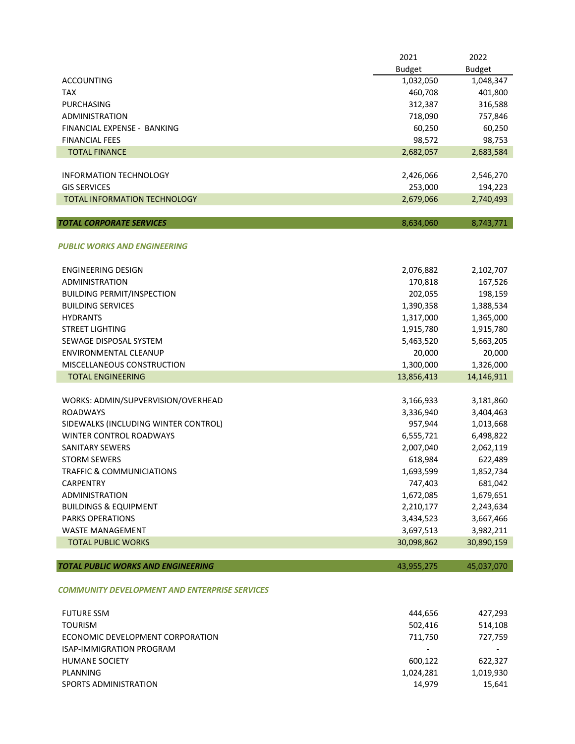|                                                      | 2021          | 2022          |
|------------------------------------------------------|---------------|---------------|
|                                                      | <b>Budget</b> | <b>Budget</b> |
| <b>ACCOUNTING</b>                                    | 1,032,050     | 1,048,347     |
| <b>TAX</b>                                           | 460,708       | 401,800       |
| <b>PURCHASING</b>                                    | 312,387       | 316,588       |
| <b>ADMINISTRATION</b>                                | 718,090       | 757,846       |
| FINANCIAL EXPENSE - BANKING                          | 60,250        | 60,250        |
| <b>FINANCIAL FEES</b>                                | 98,572        | 98,753        |
| <b>TOTAL FINANCE</b>                                 | 2,682,057     | 2,683,584     |
| INFORMATION TECHNOLOGY                               | 2,426,066     | 2,546,270     |
| <b>GIS SERVICES</b>                                  | 253,000       | 194,223       |
| <b>TOTAL INFORMATION TECHNOLOGY</b>                  | 2,679,066     | 2,740,493     |
|                                                      |               |               |
| <b>TOTAL CORPORATE SERVICES</b>                      | 8,634,060     | 8,743,771     |
| <b>PUBLIC WORKS AND ENGINEERING</b>                  |               |               |
| <b>ENGINEERING DESIGN</b>                            | 2,076,882     | 2,102,707     |
| <b>ADMINISTRATION</b>                                | 170,818       | 167,526       |
| <b>BUILDING PERMIT/INSPECTION</b>                    | 202,055       | 198,159       |
| <b>BUILDING SERVICES</b>                             | 1,390,358     | 1,388,534     |
| <b>HYDRANTS</b>                                      | 1,317,000     | 1,365,000     |
| <b>STREET LIGHTING</b>                               | 1,915,780     | 1,915,780     |
| SEWAGE DISPOSAL SYSTEM                               | 5,463,520     | 5,663,205     |
| ENVIRONMENTAL CLEANUP                                | 20,000        | 20,000        |
| MISCELLANEOUS CONSTRUCTION                           | 1,300,000     | 1,326,000     |
| <b>TOTAL ENGINEERING</b>                             | 13,856,413    | 14,146,911    |
|                                                      |               |               |
| WORKS: ADMIN/SUPVERVISION/OVERHEAD                   | 3,166,933     | 3,181,860     |
| <b>ROADWAYS</b>                                      | 3,336,940     | 3,404,463     |
| SIDEWALKS (INCLUDING WINTER CONTROL)                 | 957,944       | 1,013,668     |
| <b>WINTER CONTROL ROADWAYS</b>                       | 6,555,721     | 6,498,822     |
| <b>SANITARY SEWERS</b>                               | 2,007,040     | 2,062,119     |
| <b>STORM SEWERS</b>                                  | 618,984       | 622,489       |
| TRAFFIC & COMMUNICIATIONS                            | 1,693,599     | 1,852,734     |
| CARPENTRY                                            | 747,403       | 681,042       |
| <b>ADMINISTRATION</b>                                | 1,672,085     | 1,679,651     |
| <b>BUILDINGS &amp; EQUIPMENT</b>                     | 2,210,177     | 2,243,634     |
| <b>PARKS OPERATIONS</b>                              | 3,434,523     | 3,667,466     |
| <b>WASTE MANAGEMENT</b>                              | 3,697,513     | 3,982,211     |
| <b>TOTAL PUBLIC WORKS</b>                            | 30,098,862    | 30,890,159    |
| <b>TOTAL PUBLIC WORKS AND ENGINEERING</b>            | 43,955,275    | 45,037,070    |
| <b>COMMUNITY DEVELOPMENT AND ENTERPRISE SERVICES</b> |               |               |

| <b>FUTURE SSM</b>                | 444,656   | 427,293   |
|----------------------------------|-----------|-----------|
| <b>TOURISM</b>                   | 502.416   | 514,108   |
| ECONOMIC DEVELOPMENT CORPORATION | 711,750   | 727,759   |
| <b>ISAP-IMMIGRATION PROGRAM</b>  |           |           |
| <b>HUMANE SOCIETY</b>            | 600.122   | 622.327   |
| PLANNING                         | 1,024,281 | 1,019,930 |
| SPORTS ADMINISTRATION            | 14.979    | 15.641    |
|                                  |           |           |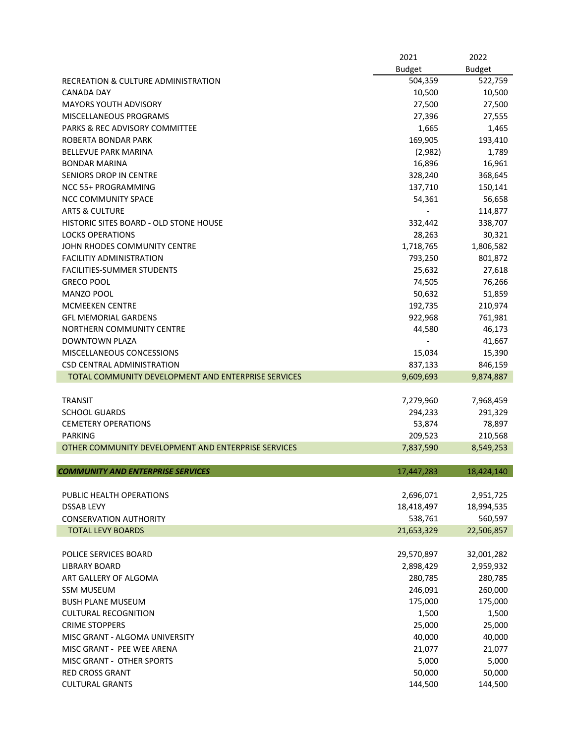|                                                     | 2021          | 2022          |
|-----------------------------------------------------|---------------|---------------|
|                                                     | <b>Budget</b> | <b>Budget</b> |
| RECREATION & CULTURE ADMINISTRATION                 | 504,359       | 522,759       |
| <b>CANADA DAY</b>                                   | 10,500        | 10,500        |
| MAYORS YOUTH ADVISORY                               | 27,500        | 27,500        |
| MISCELLANEOUS PROGRAMS                              | 27,396        | 27,555        |
| PARKS & REC ADVISORY COMMITTEE                      | 1,665         | 1,465         |
| ROBERTA BONDAR PARK                                 | 169,905       | 193,410       |
| <b>BELLEVUE PARK MARINA</b>                         | (2,982)       | 1,789         |
| BONDAR MARINA                                       | 16,896        | 16,961        |
| SENIORS DROP IN CENTRE                              | 328,240       | 368,645       |
| <b>NCC 55+ PROGRAMMING</b>                          | 137,710       | 150,141       |
| <b>NCC COMMUNITY SPACE</b>                          | 54,361        | 56,658        |
| <b>ARTS &amp; CULTURE</b>                           |               | 114,877       |
| HISTORIC SITES BOARD - OLD STONE HOUSE              | 332,442       | 338,707       |
| <b>LOCKS OPERATIONS</b>                             | 28,263        | 30,321        |
| JOHN RHODES COMMUNITY CENTRE                        | 1,718,765     | 1,806,582     |
| <b>FACILITIY ADMINISTRATION</b>                     | 793,250       | 801,872       |
| <b>FACILITIES-SUMMER STUDENTS</b>                   | 25,632        | 27,618        |
| <b>GRECO POOL</b>                                   | 74,505        | 76,266        |
| MANZO POOL                                          |               | 51,859        |
| <b>MCMEEKEN CENTRE</b>                              | 50,632        |               |
|                                                     | 192,735       | 210,974       |
| <b>GFL MEMORIAL GARDENS</b>                         | 922,968       | 761,981       |
| NORTHERN COMMUNITY CENTRE                           | 44,580        | 46,173        |
| <b>DOWNTOWN PLAZA</b>                               |               | 41,667        |
| MISCELLANEOUS CONCESSIONS                           | 15,034        | 15,390        |
| CSD CENTRAL ADMINISTRATION                          | 837,133       | 846,159       |
| TOTAL COMMUNITY DEVELOPMENT AND ENTERPRISE SERVICES | 9,609,693     | 9,874,887     |
|                                                     |               |               |
| <b>TRANSIT</b>                                      | 7,279,960     | 7,968,459     |
| <b>SCHOOL GUARDS</b>                                | 294,233       | 291,329       |
| <b>CEMETERY OPERATIONS</b>                          | 53,874        | 78,897        |
| <b>PARKING</b>                                      | 209,523       | 210,568       |
| OTHER COMMUNITY DEVELOPMENT AND ENTERPRISE SERVICES | 7,837,590     | 8,549,253     |
|                                                     |               |               |
| <b>COMMUNITY AND ENTERPRISE SERVICES</b>            | 17,447,283    | 18,424,140    |
|                                                     |               |               |
| PUBLIC HEALTH OPERATIONS                            | 2,696,071     | 2,951,725     |
| <b>DSSAB LEVY</b>                                   | 18,418,497    | 18,994,535    |
| <b>CONSERVATION AUTHORITY</b>                       | 538,761       | 560,597       |
| <b>TOTAL LEVY BOARDS</b>                            | 21,653,329    | 22,506,857    |
|                                                     |               |               |
| POLICE SERVICES BOARD                               | 29,570,897    | 32,001,282    |
| <b>LIBRARY BOARD</b>                                | 2,898,429     | 2,959,932     |
| ART GALLERY OF ALGOMA                               | 280,785       | 280,785       |
| <b>SSM MUSEUM</b>                                   | 246,091       | 260,000       |
| <b>BUSH PLANE MUSEUM</b>                            | 175,000       | 175,000       |
| <b>CULTURAL RECOGNITION</b>                         | 1,500         | 1,500         |
| <b>CRIME STOPPERS</b>                               | 25,000        | 25,000        |
| MISC GRANT - ALGOMA UNIVERSITY                      | 40,000        | 40,000        |
| MISC GRANT - PEE WEE ARENA                          | 21,077        | 21,077        |
| MISC GRANT - OTHER SPORTS                           | 5,000         | 5,000         |
| <b>RED CROSS GRANT</b>                              | 50,000        | 50,000        |
| <b>CULTURAL GRANTS</b>                              | 144,500       | 144,500       |
|                                                     |               |               |